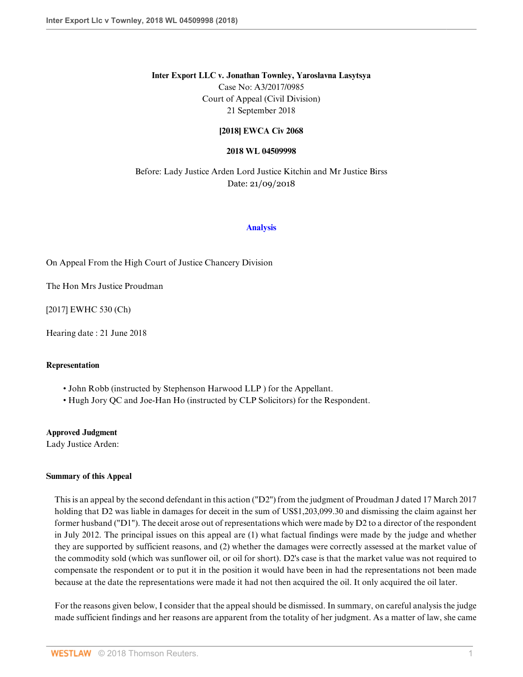### **Inter Export LLC v. Jonathan Townley, Yaroslavna Lasytsya**

Case No: A3/2017/0985 Court of Appeal (Civil Division) 21 September 2018

## **[2018] EWCA Civ 2068**

#### **2018 WL 04509998**

Before: Lady Justice Arden Lord Justice Kitchin and Mr Justice Birss Date: 21/09/2018

#### **[Analysis](http://www.westlaw.com/Document/I5F42C590BD8D11E8B71EDD03FCD280BB/View/FullText.html?originationContext=document&transitionType=DocumentItem&vr=3.0&rs=cblt1.0&contextData=(sc.Search))**

On Appeal From the High Court of Justice Chancery Division

The Hon Mrs Justice Proudman

[2017] EWHC 530 (Ch)

Hearing date : 21 June 2018

## **Representation**

- John Robb (instructed by Stephenson Harwood LLP ) for the Appellant.
- Hugh Jory QC and Joe-Han Ho (instructed by CLP Solicitors) for the Respondent.

## **Approved Judgment**

Lady Justice Arden:

## **Summary of this Appeal**

This is an appeal by the second defendant in this action ("D2") from the judgment of Proudman J dated 17 March 2017 holding that D2 was liable in damages for deceit in the sum of US\$1,203,099.30 and dismissing the claim against her former husband ("D1"). The deceit arose out of representations which were made by D2 to a director of the respondent in July 2012. The principal issues on this appeal are (1) what factual findings were made by the judge and whether they are supported by sufficient reasons, and (2) whether the damages were correctly assessed at the market value of the commodity sold (which was sunflower oil, or oil for short). D2's case is that the market value was not required to compensate the respondent or to put it in the position it would have been in had the representations not been made because at the date the representations were made it had not then acquired the oil. It only acquired the oil later.

For the reasons given below, I consider that the appeal should be dismissed. In summary, on careful analysis the judge made sufficient findings and her reasons are apparent from the totality of her judgment. As a matter of law, she came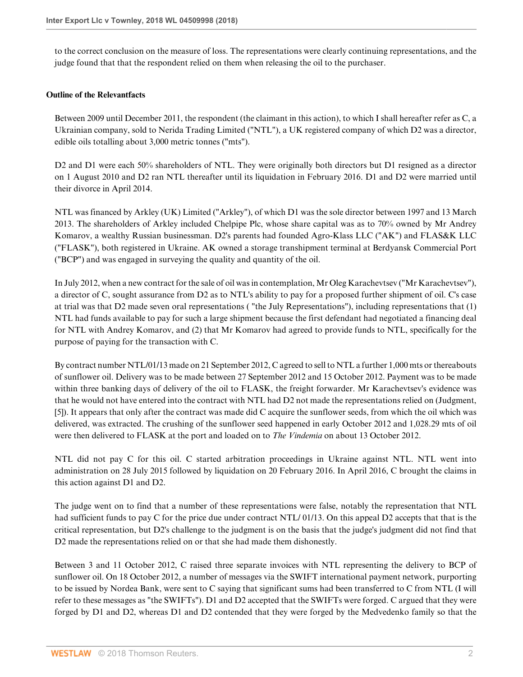to the correct conclusion on the measure of loss. The representations were clearly continuing representations, and the judge found that that the respondent relied on them when releasing the oil to the purchaser.

## **Outline of the Relevantfacts**

Between 2009 until December 2011, the respondent (the claimant in this action), to which I shall hereafter refer as C, a Ukrainian company, sold to Nerida Trading Limited ("NTL"), a UK registered company of which D2 was a director, edible oils totalling about 3,000 metric tonnes ("mts").

D2 and D1 were each 50% shareholders of NTL. They were originally both directors but D1 resigned as a director on 1 August 2010 and D2 ran NTL thereafter until its liquidation in February 2016. D1 and D2 were married until their divorce in April 2014.

NTL was financed by Arkley (UK) Limited ("Arkley"), of which D1 was the sole director between 1997 and 13 March 2013. The shareholders of Arkley included Chelpipe Plc, whose share capital was as to 70% owned by Mr Andrey Komarov, a wealthy Russian businessman. D2's parents had founded Agro-Klass LLC ("AK") and FLAS&K LLC ("FLASK"), both registered in Ukraine. AK owned a storage transhipment terminal at Berdyansk Commercial Port ("BCP") and was engaged in surveying the quality and quantity of the oil.

In July 2012, when a new contract for the sale of oil was in contemplation, Mr Oleg Karachevtsev ("Mr Karachevtsev"), a director of C, sought assurance from D2 as to NTL's ability to pay for a proposed further shipment of oil. C's case at trial was that D2 made seven oral representations ( "the July Representations"), including representations that (1) NTL had funds available to pay for such a large shipment because the first defendant had negotiated a financing deal for NTL with Andrey Komarov, and (2) that Mr Komarov had agreed to provide funds to NTL, specifically for the purpose of paying for the transaction with C.

By contract number NTL/01/13 made on 21 September 2012, C agreed to sell to NTL a further 1,000 mts or thereabouts of sunflower oil. Delivery was to be made between 27 September 2012 and 15 October 2012. Payment was to be made within three banking days of delivery of the oil to FLASK, the freight forwarder. Mr Karachevtsev's evidence was that he would not have entered into the contract with NTL had D2 not made the representations relied on (Judgment, [5]). It appears that only after the contract was made did C acquire the sunflower seeds, from which the oil which was delivered, was extracted. The crushing of the sunflower seed happened in early October 2012 and 1,028.29 mts of oil were then delivered to FLASK at the port and loaded on to *The Vindemia* on about 13 October 2012.

NTL did not pay C for this oil. C started arbitration proceedings in Ukraine against NTL. NTL went into administration on 28 July 2015 followed by liquidation on 20 February 2016. In April 2016, C brought the claims in this action against D1 and D2.

The judge went on to find that a number of these representations were false, notably the representation that NTL had sufficient funds to pay C for the price due under contract NTL/01/13. On this appeal D2 accepts that that is the critical representation, but D2's challenge to the judgment is on the basis that the judge's judgment did not find that D2 made the representations relied on or that she had made them dishonestly.

Between 3 and 11 October 2012, C raised three separate invoices with NTL representing the delivery to BCP of sunflower oil. On 18 October 2012, a number of messages via the SWIFT international payment network, purporting to be issued by Nordea Bank, were sent to C saying that significant sums had been transferred to C from NTL (I will refer to these messages as "the SWIFTs"). D1 and D2 accepted that the SWIFTs were forged. C argued that they were forged by D1 and D2, whereas D1 and D2 contended that they were forged by the Medvedenko family so that the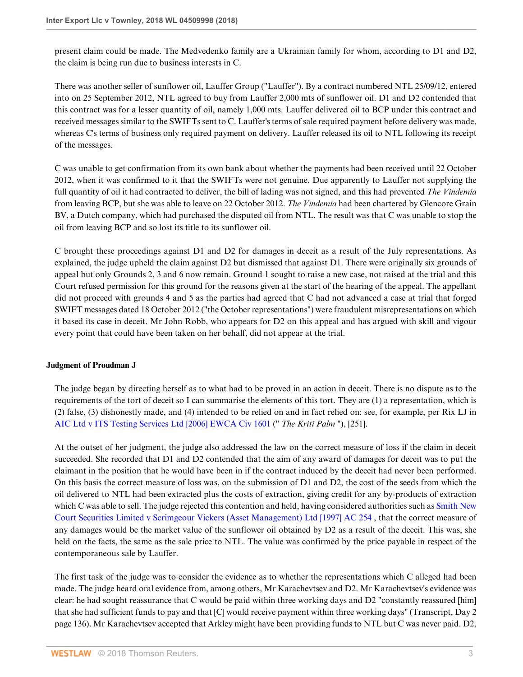present claim could be made. The Medvedenko family are a Ukrainian family for whom, according to D1 and D2, the claim is being run due to business interests in C.

There was another seller of sunflower oil, Lauffer Group ("Lauffer"). By a contract numbered NTL 25/09/12, entered into on 25 September 2012, NTL agreed to buy from Lauffer 2,000 mts of sunflower oil. D1 and D2 contended that this contract was for a lesser quantity of oil, namely 1,000 mts. Lauffer delivered oil to BCP under this contract and received messages similar to the SWIFTs sent to C. Lauffer's terms of sale required payment before delivery was made, whereas C's terms of business only required payment on delivery. Lauffer released its oil to NTL following its receipt of the messages.

C was unable to get confirmation from its own bank about whether the payments had been received until 22 October 2012, when it was confirmed to it that the SWIFTs were not genuine. Due apparently to Lauffer not supplying the full quantity of oil it had contracted to deliver, the bill of lading was not signed, and this had prevented *The Vindemia* from leaving BCP, but she was able to leave on 22 October 2012. *The Vindemia* had been chartered by Glencore Grain BV, a Dutch company, which had purchased the disputed oil from NTL. The result was that C was unable to stop the oil from leaving BCP and so lost its title to its sunflower oil.

C brought these proceedings against D1 and D2 for damages in deceit as a result of the July representations. As explained, the judge upheld the claim against D2 but dismissed that against D1. There were originally six grounds of appeal but only Grounds 2, 3 and 6 now remain. Ground 1 sought to raise a new case, not raised at the trial and this Court refused permission for this ground for the reasons given at the start of the hearing of the appeal. The appellant did not proceed with grounds 4 and 5 as the parties had agreed that C had not advanced a case at trial that forged SWIFT messages dated 18 October 2012 ("the October representations") were fraudulent misrepresentations on which it based its case in deceit. Mr John Robb, who appears for D2 on this appeal and has argued with skill and vigour every point that could have been taken on her behalf, did not appear at the trial.

## **Judgment of Proudman J**

The judge began by directing herself as to what had to be proved in an action in deceit. There is no dispute as to the requirements of the tort of deceit so I can summarise the elements of this tort. They are (1) a representation, which is (2) false, (3) dishonestly made, and (4) intended to be relied on and in fact relied on: see, for example, per Rix LJ in [AIC Ltd v ITS Testing Services Ltd \[2006\] EWCA Civ 1601](http://www.westlaw.com/Link/Document/FullText?findType=Y&serNum=2010718144&pubNum=999&originatingDoc=ID71867B0E2BC11E8AEF4B5C02A97E18E&refType=UC&originationContext=document&vr=3.0&rs=cblt1.0&transitionType=DocumentItem&contextData=(sc.Search)) (" *The Kriti Palm* "), [251].

At the outset of her judgment, the judge also addressed the law on the correct measure of loss if the claim in deceit succeeded. She recorded that D1 and D2 contended that the aim of any award of damages for deceit was to put the claimant in the position that he would have been in if the contract induced by the deceit had never been performed. On this basis the correct measure of loss was, on the submission of D1 and D2, the cost of the seeds from which the oil delivered to NTL had been extracted plus the costs of extraction, giving credit for any by-products of extraction which C was able to sell. The judge rejected this contention and held, having considered authorities such as [Smith New](http://www.westlaw.com/Link/Document/FullText?findType=Y&serNum=1996292702&pubNum=999&originatingDoc=ID71867B0E2BC11E8AEF4B5C02A97E18E&refType=UC&originationContext=document&vr=3.0&rs=cblt1.0&transitionType=DocumentItem&contextData=(sc.Search)) [Court Securities Limited v Scrimgeour Vickers \(Asset Management\) Ltd \[1997\] AC 254](http://www.westlaw.com/Link/Document/FullText?findType=Y&serNum=1996292702&pubNum=999&originatingDoc=ID71867B0E2BC11E8AEF4B5C02A97E18E&refType=UC&originationContext=document&vr=3.0&rs=cblt1.0&transitionType=DocumentItem&contextData=(sc.Search)) , that the correct measure of any damages would be the market value of the sunflower oil obtained by D2 as a result of the deceit. This was, she held on the facts, the same as the sale price to NTL. The value was confirmed by the price payable in respect of the contemporaneous sale by Lauffer.

The first task of the judge was to consider the evidence as to whether the representations which C alleged had been made. The judge heard oral evidence from, among others, Mr Karachevtsev and D2. Mr Karachevtsev's evidence was clear: he had sought reassurance that C would be paid within three working days and D2 "constantly reassured [him] that she had sufficient funds to pay and that [C] would receive payment within three working days" (Transcript, Day 2 page 136). Mr Karachevtsev accepted that Arkley might have been providing funds to NTL but C was never paid. D2,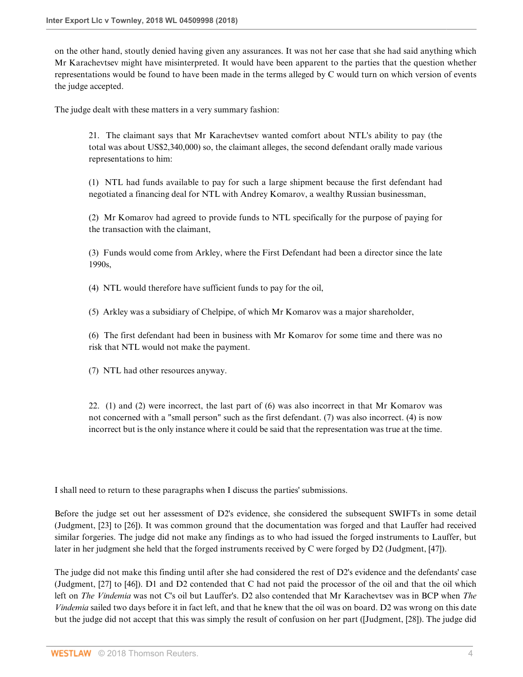on the other hand, stoutly denied having given any assurances. It was not her case that she had said anything which Mr Karachevtsev might have misinterpreted. It would have been apparent to the parties that the question whether representations would be found to have been made in the terms alleged by C would turn on which version of events the judge accepted.

The judge dealt with these matters in a very summary fashion:

21. The claimant says that Mr Karachevtsev wanted comfort about NTL's ability to pay (the total was about US\$2,340,000) so, the claimant alleges, the second defendant orally made various representations to him:

(1) NTL had funds available to pay for such a large shipment because the first defendant had negotiated a financing deal for NTL with Andrey Komarov, a wealthy Russian businessman,

(2) Mr Komarov had agreed to provide funds to NTL specifically for the purpose of paying for the transaction with the claimant,

(3) Funds would come from Arkley, where the First Defendant had been a director since the late 1990s,

(4) NTL would therefore have sufficient funds to pay for the oil,

(5) Arkley was a subsidiary of Chelpipe, of which Mr Komarov was a major shareholder,

(6) The first defendant had been in business with Mr Komarov for some time and there was no risk that NTL would not make the payment.

(7) NTL had other resources anyway.

22. (1) and (2) were incorrect, the last part of (6) was also incorrect in that Mr Komarov was not concerned with a "small person" such as the first defendant. (7) was also incorrect. (4) is now incorrect but is the only instance where it could be said that the representation was true at the time.

I shall need to return to these paragraphs when I discuss the parties' submissions.

Before the judge set out her assessment of D2's evidence, she considered the subsequent SWIFTs in some detail (Judgment, [23] to [26]). It was common ground that the documentation was forged and that Lauffer had received similar forgeries. The judge did not make any findings as to who had issued the forged instruments to Lauffer, but later in her judgment she held that the forged instruments received by C were forged by D2 (Judgment, [47]).

The judge did not make this finding until after she had considered the rest of D2's evidence and the defendants' case (Judgment, [27] to [46]). D1 and D2 contended that C had not paid the processor of the oil and that the oil which left on *The Vindemia* was not C's oil but Lauffer's. D2 also contended that Mr Karachevtsev was in BCP when *The Vindemia* sailed two days before it in fact left, and that he knew that the oil was on board. D2 was wrong on this date but the judge did not accept that this was simply the result of confusion on her part ([Judgment, [28]). The judge did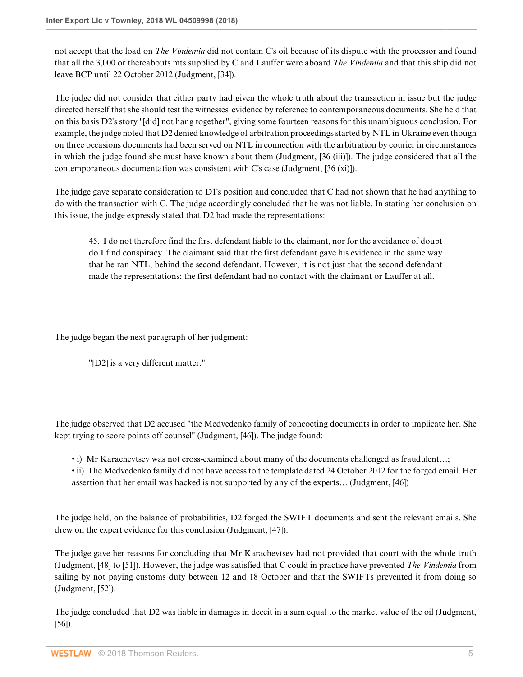not accept that the load on *The Vindemia* did not contain C's oil because of its dispute with the processor and found that all the 3,000 or thereabouts mts supplied by C and Lauffer were aboard *The Vindemia* and that this ship did not leave BCP until 22 October 2012 (Judgment, [34]).

The judge did not consider that either party had given the whole truth about the transaction in issue but the judge directed herself that she should test the witnesses' evidence by reference to contemporaneous documents. She held that on this basis D2's story "[did] not hang together", giving some fourteen reasons for this unambiguous conclusion. For example, the judge noted that D2 denied knowledge of arbitration proceedings started by NTL in Ukraine even though on three occasions documents had been served on NTL in connection with the arbitration by courier in circumstances in which the judge found she must have known about them (Judgment, [36 (iii)]). The judge considered that all the contemporaneous documentation was consistent with C's case (Judgment, [36 (xi)]).

The judge gave separate consideration to D1's position and concluded that C had not shown that he had anything to do with the transaction with C. The judge accordingly concluded that he was not liable. In stating her conclusion on this issue, the judge expressly stated that D2 had made the representations:

45. I do not therefore find the first defendant liable to the claimant, nor for the avoidance of doubt do I find conspiracy. The claimant said that the first defendant gave his evidence in the same way that he ran NTL, behind the second defendant. However, it is not just that the second defendant made the representations; the first defendant had no contact with the claimant or Lauffer at all.

The judge began the next paragraph of her judgment:

"[D2] is a very different matter."

The judge observed that D2 accused "the Medvedenko family of concocting documents in order to implicate her. She kept trying to score points off counsel" (Judgment, [46]). The judge found:

- i) Mr Karachevtsev was not cross-examined about many of the documents challenged as fraudulent...;
- ii) The Medvedenko family did not have access to the template dated 24 October 2012 for the forged email. Her assertion that her email was hacked is not supported by any of the experts… (Judgment, [46])

The judge held, on the balance of probabilities, D2 forged the SWIFT documents and sent the relevant emails. She drew on the expert evidence for this conclusion (Judgment, [47]).

The judge gave her reasons for concluding that Mr Karachevtsev had not provided that court with the whole truth (Judgment, [48] to [51]). However, the judge was satisfied that C could in practice have prevented *The Vindemia* from sailing by not paying customs duty between 12 and 18 October and that the SWIFTs prevented it from doing so (Judgment, [52]).

The judge concluded that D2 was liable in damages in deceit in a sum equal to the market value of the oil (Judgment, [56]).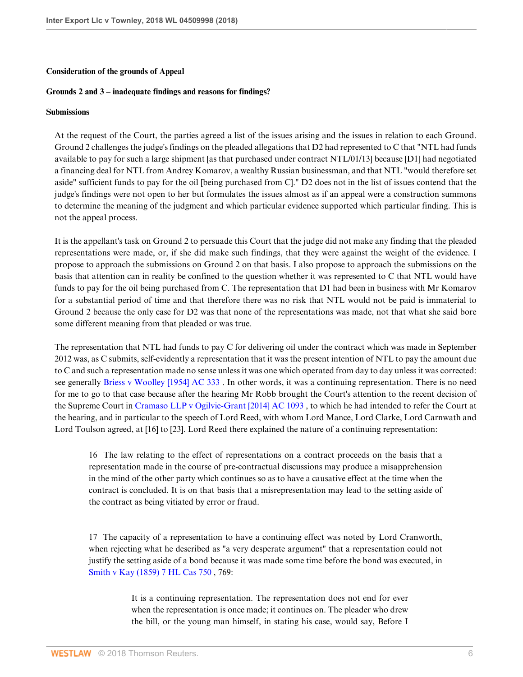### **Consideration of the grounds of Appeal**

### **Grounds 2 and 3 – inadequate findings and reasons for findings?**

#### **Submissions**

At the request of the Court, the parties agreed a list of the issues arising and the issues in relation to each Ground. Ground 2 challenges the judge's findings on the pleaded allegations that D2 had represented to C that "NTL had funds available to pay for such a large shipment [as that purchased under contract NTL/01/13] because [D1] had negotiated a financing deal for NTL from Andrey Komarov, a wealthy Russian businessman, and that NTL "would therefore set aside" sufficient funds to pay for the oil [being purchased from C]." D2 does not in the list of issues contend that the judge's findings were not open to her but formulates the issues almost as if an appeal were a construction summons to determine the meaning of the judgment and which particular evidence supported which particular finding. This is not the appeal process.

It is the appellant's task on Ground 2 to persuade this Court that the judge did not make any finding that the pleaded representations were made, or, if she did make such findings, that they were against the weight of the evidence. I propose to approach the submissions on Ground 2 on that basis. I also propose to approach the submissions on the basis that attention can in reality be confined to the question whether it was represented to C that NTL would have funds to pay for the oil being purchased from C. The representation that D1 had been in business with Mr Komarov for a substantial period of time and that therefore there was no risk that NTL would not be paid is immaterial to Ground 2 because the only case for D2 was that none of the representations was made, not that what she said bore some different meaning from that pleaded or was true.

The representation that NTL had funds to pay C for delivering oil under the contract which was made in September 2012 was, as C submits, self-evidently a representation that it was the present intention of NTL to pay the amount due to C and such a representation made no sense unless it was one which operated from day to day unless it was corrected: see generally [Briess v Woolley \[1954\] AC 333](http://www.westlaw.com/Link/Document/FullText?findType=Y&serNum=1954016166&pubNum=999&originatingDoc=ID71867B0E2BC11E8AEF4B5C02A97E18E&refType=UC&originationContext=document&vr=3.0&rs=cblt1.0&transitionType=DocumentItem&contextData=(sc.Search)) . In other words, it was a continuing representation. There is no need for me to go to that case because after the hearing Mr Robb brought the Court's attention to the recent decision of the Supreme Court in [Cramaso LLP v Ogilvie-Grant \[2014\] AC 1093](http://www.westlaw.com/Link/Document/FullText?findType=Y&serNum=2032695577&pubNum=999&originatingDoc=ID71867B0E2BC11E8AEF4B5C02A97E18E&refType=UC&originationContext=document&vr=3.0&rs=cblt1.0&transitionType=DocumentItem&contextData=(sc.Search)) , to which he had intended to refer the Court at the hearing, and in particular to the speech of Lord Reed, with whom Lord Mance, Lord Clarke, Lord Carnwath and Lord Toulson agreed, at [16] to [23]. Lord Reed there explained the nature of a continuing representation:

16 The law relating to the effect of representations on a contract proceeds on the basis that a representation made in the course of pre-contractual discussions may produce a misapprehension in the mind of the other party which continues so as to have a causative effect at the time when the contract is concluded. It is on that basis that a misrepresentation may lead to the setting aside of the contract as being vitiated by error or fraud.

17 The capacity of a representation to have a continuing effect was noted by Lord Cranworth, when rejecting what he described as "a very desperate argument" that a representation could not justify the setting aside of a bond because it was made some time before the bond was executed, in [Smith v Kay \(1859\) 7 HL Cas 750](http://www.westlaw.com/Link/Document/FullText?findType=Y&serNum=1859058931&pubNum=999&originatingDoc=ID71867B0E2BC11E8AEF4B5C02A97E18E&refType=UC&originationContext=document&vr=3.0&rs=cblt1.0&transitionType=DocumentItem&contextData=(sc.Search)) , 769:

> It is a continuing representation. The representation does not end for ever when the representation is once made; it continues on. The pleader who drew the bill, or the young man himself, in stating his case, would say, Before I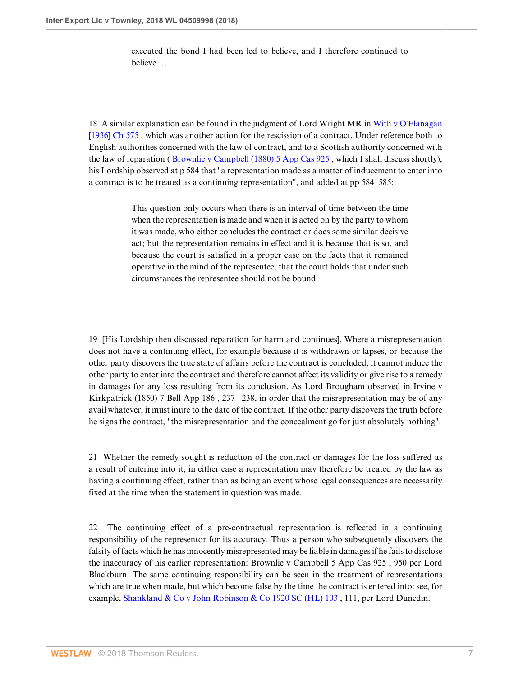executed the bond I had been led to believe, and I therefore continued to believe …

18 A similar explanation can be found in the judgment of Lord Wright MR in [With v O'Flanagan](http://www.westlaw.com/Link/Document/FullText?findType=Y&serNum=1936007690&pubNum=999&originatingDoc=ID71867B0E2BC11E8AEF4B5C02A97E18E&refType=UC&originationContext=document&vr=3.0&rs=cblt1.0&transitionType=DocumentItem&contextData=(sc.Search)) [\[1936\] Ch 575](http://www.westlaw.com/Link/Document/FullText?findType=Y&serNum=1936007690&pubNum=999&originatingDoc=ID71867B0E2BC11E8AEF4B5C02A97E18E&refType=UC&originationContext=document&vr=3.0&rs=cblt1.0&transitionType=DocumentItem&contextData=(sc.Search)), which was another action for the rescission of a contract. Under reference both to English authorities concerned with the law of contract, and to a Scottish authority concerned with the law of reparation ( [Brownlie v Campbell \(1880\) 5 App Cas 925](http://www.westlaw.com/Link/Document/FullText?findType=Y&serNum=1879149145&pubNum=999&originatingDoc=ID71867B0E2BC11E8AEF4B5C02A97E18E&refType=UC&originationContext=document&vr=3.0&rs=cblt1.0&transitionType=DocumentItem&contextData=(sc.Search)) , which I shall discuss shortly), his Lordship observed at p 584 that "a representation made as a matter of inducement to enter into a contract is to be treated as a continuing representation", and added at pp 584–585:

> This question only occurs when there is an interval of time between the time when the representation is made and when it is acted on by the party to whom it was made, who either concludes the contract or does some similar decisive act; but the representation remains in effect and it is because that is so, and because the court is satisfied in a proper case on the facts that it remained operative in the mind of the representee, that the court holds that under such circumstances the representee should not be bound.

19 [His Lordship then discussed reparation for harm and continues]. Where a misrepresentation does not have a continuing effect, for example because it is withdrawn or lapses, or because the other party discovers the true state of affairs before the contract is concluded, it cannot induce the other party to enter into the contract and therefore cannot affect its validity or give rise to a remedy in damages for any loss resulting from its conclusion. As Lord Brougham observed in Irvine v Kirkpatrick (1850) 7 Bell App 186 , 237– 238, in order that the misrepresentation may be of any avail whatever, it must inure to the date of the contract. If the other party discovers the truth before he signs the contract, "the misrepresentation and the concealment go for just absolutely nothing".

21 Whether the remedy sought is reduction of the contract or damages for the loss suffered as a result of entering into it, in either case a representation may therefore be treated by the law as having a continuing effect, rather than as being an event whose legal consequences are necessarily fixed at the time when the statement in question was made.

22 The continuing effect of a pre-contractual representation is reflected in a continuing responsibility of the representor for its accuracy. Thus a person who subsequently discovers the falsity of facts which he has innocently misrepresented may be liable in damages if he fails to disclose the inaccuracy of his earlier representation: Brownlie v Campbell 5 App Cas 925 , 950 per Lord Blackburn. The same continuing responsibility can be seen in the treatment of representations which are true when made, but which become false by the time the contract is entered into: see, for example, Shankland & Co v John Robinson & Co 1920 SC (HL)  $103$ , 111, per Lord Dunedin.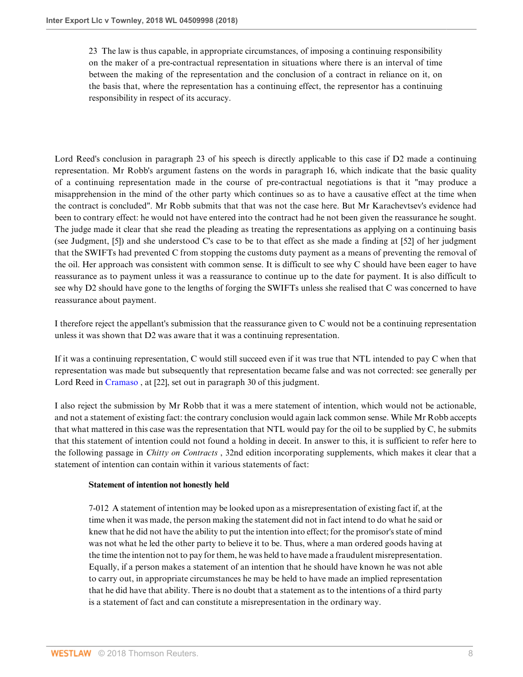23 The law is thus capable, in appropriate circumstances, of imposing a continuing responsibility on the maker of a pre-contractual representation in situations where there is an interval of time between the making of the representation and the conclusion of a contract in reliance on it, on the basis that, where the representation has a continuing effect, the representor has a continuing responsibility in respect of its accuracy.

Lord Reed's conclusion in paragraph 23 of his speech is directly applicable to this case if D2 made a continuing representation. Mr Robb's argument fastens on the words in paragraph 16, which indicate that the basic quality of a continuing representation made in the course of pre-contractual negotiations is that it "may produce a misapprehension in the mind of the other party which continues so as to have a causative effect at the time when the contract is concluded". Mr Robb submits that that was not the case here. But Mr Karachevtsev's evidence had been to contrary effect: he would not have entered into the contract had he not been given the reassurance he sought. The judge made it clear that she read the pleading as treating the representations as applying on a continuing basis (see Judgment, [5]) and she understood C's case to be to that effect as she made a finding at [52] of her judgment that the SWIFTs had prevented C from stopping the customs duty payment as a means of preventing the removal of the oil. Her approach was consistent with common sense. It is difficult to see why C should have been eager to have reassurance as to payment unless it was a reassurance to continue up to the date for payment. It is also difficult to see why D2 should have gone to the lengths of forging the SWIFTs unless she realised that C was concerned to have reassurance about payment.

I therefore reject the appellant's submission that the reassurance given to C would not be a continuing representation unless it was shown that D2 was aware that it was a continuing representation.

If it was a continuing representation, C would still succeed even if it was true that NTL intended to pay C when that representation was made but subsequently that representation became false and was not corrected: see generally per Lord Reed in [Cramaso](http://www.westlaw.com/Link/Document/FullText?findType=Y&serNum=2032695577&pubNum=999&originatingDoc=ID71867B0E2BC11E8AEF4B5C02A97E18E&refType=UC&originationContext=document&vr=3.0&rs=cblt1.0&transitionType=DocumentItem&contextData=(sc.Search)) , at [22], set out in paragraph 30 of this judgment.

I also reject the submission by Mr Robb that it was a mere statement of intention, which would not be actionable, and not a statement of existing fact: the contrary conclusion would again lack common sense. While Mr Robb accepts that what mattered in this case was the representation that NTL would pay for the oil to be supplied by C, he submits that this statement of intention could not found a holding in deceit. In answer to this, it is sufficient to refer here to the following passage in *Chitty on Contracts* , 32nd edition incorporating supplements, which makes it clear that a statement of intention can contain within it various statements of fact:

## **Statement of intention not honestly held**

7-012 A statement of intention may be looked upon as a misrepresentation of existing fact if, at the time when it was made, the person making the statement did not in fact intend to do what he said or knew that he did not have the ability to put the intention into effect; for the promisor's state of mind was not what he led the other party to believe it to be. Thus, where a man ordered goods having at the time the intention not to pay for them, he was held to have made a fraudulent misrepresentation. Equally, if a person makes a statement of an intention that he should have known he was not able to carry out, in appropriate circumstances he may be held to have made an implied representation that he did have that ability. There is no doubt that a statement as to the intentions of a third party is a statement of fact and can constitute a misrepresentation in the ordinary way.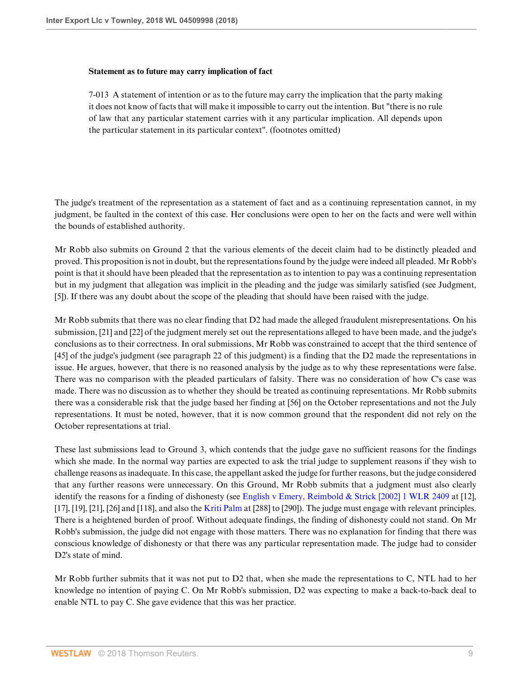#### **Statement as to future may carry implication of fact**

7-013 A statement of intention or as to the future may carry the implication that the party making it does not know of facts that will make it impossible to carry out the intention. But "there is no rule of law that any particular statement carries with it any particular implication. All depends upon the particular statement in its particular context". (footnotes omitted)

The judge's treatment of the representation as a statement of fact and as a continuing representation cannot, in my judgment, be faulted in the context of this case. Her conclusions were open to her on the facts and were well within the bounds of established authority.

Mr Robb also submits on Ground 2 that the various elements of the deceit claim had to be distinctly pleaded and proved. This proposition is not in doubt, but the representations found by the judge were indeed all pleaded. Mr Robb's point is that it should have been pleaded that the representation as to intention to pay was a continuing representation but in my judgment that allegation was implicit in the pleading and the judge was similarly satisfied (see Judgment, [5]). If there was any doubt about the scope of the pleading that should have been raised with the judge.

Mr Robb submits that there was no clear finding that D2 had made the alleged fraudulent misrepresentations. On his submission, [21] and [22] of the judgment merely set out the representations alleged to have been made, and the judge's conclusions as to their correctness. In oral submissions, Mr Robb was constrained to accept that the third sentence of [45] of the judge's judgment (see paragraph 22 of this judgment) is a finding that the D2 made the representations in issue. He argues, however, that there is no reasoned analysis by the judge as to why these representations were false. There was no comparison with the pleaded particulars of falsity. There was no consideration of how C's case was made. There was no discussion as to whether they should be treated as continuing representations. Mr Robb submits there was a considerable risk that the judge based her finding at [56] on the October representations and not the July representations. It must be noted, however, that it is now common ground that the respondent did not rely on the October representations at trial.

These last submissions lead to Ground 3, which contends that the judge gave no sufficient reasons for the findings which she made. In the normal way parties are expected to ask the trial judge to supplement reasons if they wish to challenge reasons as inadequate. In this case, the appellant asked the judge for further reasons, but the judge considered that any further reasons were unnecessary. On this Ground, Mr Robb submits that a judgment must also clearly identify the reasons for a finding of dishonesty (see [English v Emery, Reimbold & Strick \[2002\] 1 WLR 2409](http://www.westlaw.com/Link/Document/FullText?findType=Y&serNum=2002224878&pubNum=999&originatingDoc=ID71867B0E2BC11E8AEF4B5C02A97E18E&refType=UC&originationContext=document&vr=3.0&rs=cblt1.0&transitionType=DocumentItem&contextData=(sc.Search)) at [12], [17], [19], [21], [26] and [118], and also the [Kriti Palm](http://www.westlaw.com/Link/Document/FullText?findType=Y&serNum=2010718144&pubNum=999&originatingDoc=ID71867B0E2BC11E8AEF4B5C02A97E18E&refType=UC&originationContext=document&vr=3.0&rs=cblt1.0&transitionType=DocumentItem&contextData=(sc.Search)) at [288] to [290]). The judge must engage with relevant principles. There is a heightened burden of proof. Without adequate findings, the finding of dishonesty could not stand. On Mr Robb's submission, the judge did not engage with those matters. There was no explanation for finding that there was conscious knowledge of dishonesty or that there was any particular representation made. The judge had to consider D2's state of mind.

Mr Robb further submits that it was not put to D2 that, when she made the representations to C, NTL had to her knowledge no intention of paying C. On Mr Robb's submission, D2 was expecting to make a back-to-back deal to enable NTL to pay C. She gave evidence that this was her practice.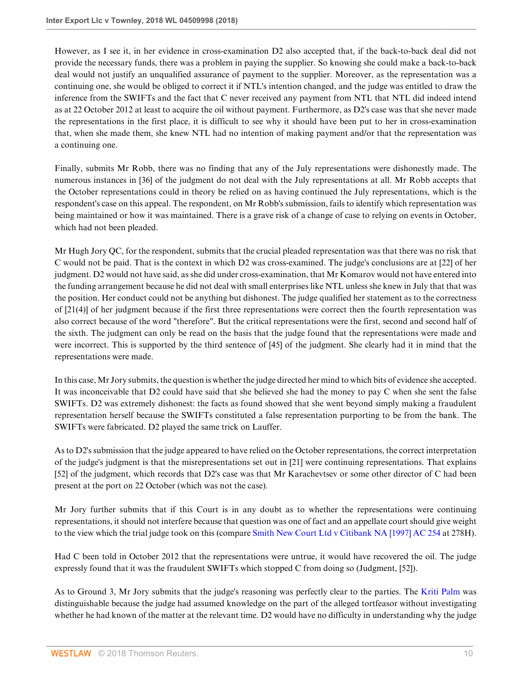However, as I see it, in her evidence in cross-examination D2 also accepted that, if the back-to-back deal did not provide the necessary funds, there was a problem in paying the supplier. So knowing she could make a back-to-back deal would not justify an unqualified assurance of payment to the supplier. Moreover, as the representation was a continuing one, she would be obliged to correct it if NTL's intention changed, and the judge was entitled to draw the inference from the SWIFTs and the fact that C never received any payment from NTL that NTL did indeed intend as at 22 October 2012 at least to acquire the oil without payment. Furthermore, as D2's case was that she never made the representations in the first place, it is difficult to see why it should have been put to her in cross-examination that, when she made them, she knew NTL had no intention of making payment and/or that the representation was a continuing one.

Finally, submits Mr Robb, there was no finding that any of the July representations were dishonestly made. The numerous instances in [36] of the judgment do not deal with the July representations at all. Mr Robb accepts that the October representations could in theory be relied on as having continued the July representations, which is the respondent's case on this appeal. The respondent, on Mr Robb's submission, fails to identify which representation was being maintained or how it was maintained. There is a grave risk of a change of case to relying on events in October, which had not been pleaded.

Mr Hugh Jory QC, for the respondent, submits that the crucial pleaded representation was that there was no risk that C would not be paid. That is the context in which D2 was cross-examined. The judge's conclusions are at [22] of her judgment. D2 would not have said, as she did under cross-examination, that Mr Komarov would not have entered into the funding arrangement because he did not deal with small enterprises like NTL unless she knew in July that that was the position. Her conduct could not be anything but dishonest. The judge qualified her statement as to the correctness of [21(4)] of her judgment because if the first three representations were correct then the fourth representation was also correct because of the word "therefore". But the critical representations were the first, second and second half of the sixth. The judgment can only be read on the basis that the judge found that the representations were made and were incorrect. This is supported by the third sentence of [45] of the judgment. She clearly had it in mind that the representations were made.

In this case, Mr Jory submits, the question is whether the judge directed her mind to which bits of evidence she accepted. It was inconceivable that D2 could have said that she believed she had the money to pay C when she sent the false SWIFTs. D2 was extremely dishonest: the facts as found showed that she went beyond simply making a fraudulent representation herself because the SWIFTs constituted a false representation purporting to be from the bank. The SWIFTs were fabricated. D2 played the same trick on Lauffer.

As to D2's submission that the judge appeared to have relied on the October representations, the correct interpretation of the judge's judgment is that the misrepresentations set out in [21] were continuing representations. That explains [52] of the judgment, which records that D2's case was that Mr Karachevtsev or some other director of C had been present at the port on 22 October (which was not the case).

Mr Jory further submits that if this Court is in any doubt as to whether the representations were continuing representations, it should not interfere because that question was one of fact and an appellate court should give weight to the view which the trial judge took on this (compare [Smith New Court Ltd v Citibank NA \[1997\] AC 254](http://www.westlaw.com/Link/Document/FullText?findType=Y&serNum=1996292702&pubNum=999&originatingDoc=ID71867B0E2BC11E8AEF4B5C02A97E18E&refType=UC&originationContext=document&vr=3.0&rs=cblt1.0&transitionType=DocumentItem&contextData=(sc.Search)) at 278H).

Had C been told in October 2012 that the representations were untrue, it would have recovered the oil. The judge expressly found that it was the fraudulent SWIFTs which stopped C from doing so (Judgment, [52]).

As to Ground 3, Mr Jory submits that the judge's reasoning was perfectly clear to the parties. The [Kriti Palm](http://www.westlaw.com/Link/Document/FullText?findType=Y&serNum=2010718144&pubNum=999&originatingDoc=ID71867B0E2BC11E8AEF4B5C02A97E18E&refType=UC&originationContext=document&vr=3.0&rs=cblt1.0&transitionType=DocumentItem&contextData=(sc.Search)) was distinguishable because the judge had assumed knowledge on the part of the alleged tortfeasor without investigating whether he had known of the matter at the relevant time. D2 would have no difficulty in understanding why the judge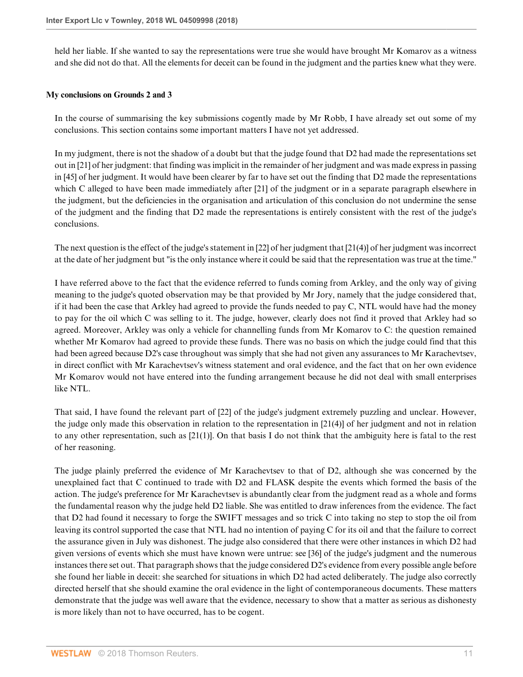held her liable. If she wanted to say the representations were true she would have brought Mr Komarov as a witness and she did not do that. All the elements for deceit can be found in the judgment and the parties knew what they were.

## **My conclusions on Grounds 2 and 3**

In the course of summarising the key submissions cogently made by Mr Robb, I have already set out some of my conclusions. This section contains some important matters I have not yet addressed.

In my judgment, there is not the shadow of a doubt but that the judge found that D2 had made the representations set out in [21] of her judgment: that finding was implicit in the remainder of her judgment and was made express in passing in [45] of her judgment. It would have been clearer by far to have set out the finding that D2 made the representations which C alleged to have been made immediately after [21] of the judgment or in a separate paragraph elsewhere in the judgment, but the deficiencies in the organisation and articulation of this conclusion do not undermine the sense of the judgment and the finding that D2 made the representations is entirely consistent with the rest of the judge's conclusions.

The next question is the effect of the judge's statement in [22] of her judgment that [21(4)] of her judgment was incorrect at the date of her judgment but "is the only instance where it could be said that the representation was true at the time."

I have referred above to the fact that the evidence referred to funds coming from Arkley, and the only way of giving meaning to the judge's quoted observation may be that provided by Mr Jory, namely that the judge considered that, if it had been the case that Arkley had agreed to provide the funds needed to pay C, NTL would have had the money to pay for the oil which C was selling to it. The judge, however, clearly does not find it proved that Arkley had so agreed. Moreover, Arkley was only a vehicle for channelling funds from Mr Komarov to C: the question remained whether Mr Komarov had agreed to provide these funds. There was no basis on which the judge could find that this had been agreed because D2's case throughout was simply that she had not given any assurances to Mr Karachevtsev, in direct conflict with Mr Karachevtsev's witness statement and oral evidence, and the fact that on her own evidence Mr Komarov would not have entered into the funding arrangement because he did not deal with small enterprises like NTL.

That said, I have found the relevant part of [22] of the judge's judgment extremely puzzling and unclear. However, the judge only made this observation in relation to the representation in [21(4)] of her judgment and not in relation to any other representation, such as [21(1)]. On that basis I do not think that the ambiguity here is fatal to the rest of her reasoning.

The judge plainly preferred the evidence of Mr Karachevtsev to that of D2, although she was concerned by the unexplained fact that C continued to trade with D2 and FLASK despite the events which formed the basis of the action. The judge's preference for Mr Karachevtsev is abundantly clear from the judgment read as a whole and forms the fundamental reason why the judge held D2 liable. She was entitled to draw inferences from the evidence. The fact that D2 had found it necessary to forge the SWIFT messages and so trick C into taking no step to stop the oil from leaving its control supported the case that NTL had no intention of paying C for its oil and that the failure to correct the assurance given in July was dishonest. The judge also considered that there were other instances in which D2 had given versions of events which she must have known were untrue: see [36] of the judge's judgment and the numerous instances there set out. That paragraph shows that the judge considered D2's evidence from every possible angle before she found her liable in deceit: she searched for situations in which D2 had acted deliberately. The judge also correctly directed herself that she should examine the oral evidence in the light of contemporaneous documents. These matters demonstrate that the judge was well aware that the evidence, necessary to show that a matter as serious as dishonesty is more likely than not to have occurred, has to be cogent.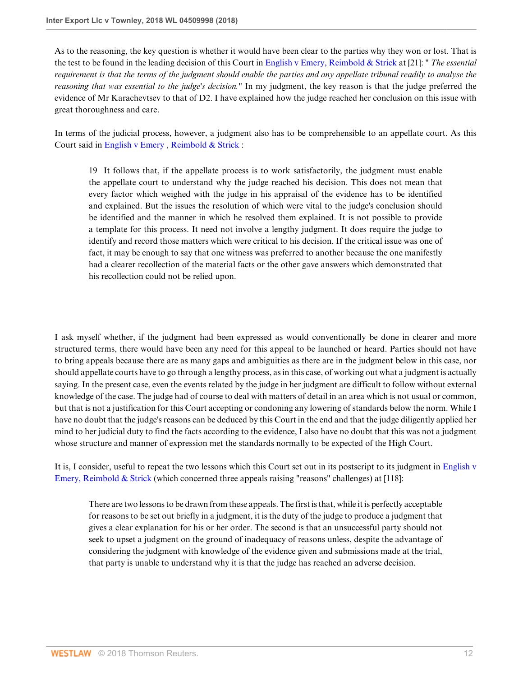As to the reasoning, the key question is whether it would have been clear to the parties why they won or lost. That is the test to be found in the leading decision of this Court in [English v Emery, Reimbold & Strick](http://www.westlaw.com/Link/Document/FullText?findType=Y&serNum=2002224878&pubNum=999&originatingDoc=ID71867B0E2BC11E8AEF4B5C02A97E18E&refType=UC&originationContext=document&vr=3.0&rs=cblt1.0&transitionType=DocumentItem&contextData=(sc.Search)) at [21]: " *The essential requirement is that the terms of the judgment should enable the parties and any appellate tribunal readily to analyse the reasoning that was essential to the judge's decision."* In my judgment, the key reason is that the judge preferred the evidence of Mr Karachevtsev to that of D2. I have explained how the judge reached her conclusion on this issue with great thoroughness and care.

In terms of the judicial process, however, a judgment also has to be comprehensible to an appellate court. As this Court said in [English v Emery](http://www.westlaw.com/Link/Document/FullText?findType=Y&serNum=2002224878&pubNum=999&originatingDoc=ID71867B0E2BC11E8AEF4B5C02A97E18E&refType=UC&originationContext=document&vr=3.0&rs=cblt1.0&transitionType=DocumentItem&contextData=(sc.Search)) , [Reimbold & Strick](http://www.westlaw.com/Link/Document/FullText?findType=Y&serNum=2002224878&pubNum=999&originatingDoc=ID71867B0E2BC11E8AEF4B5C02A97E18E&refType=UC&originationContext=document&vr=3.0&rs=cblt1.0&transitionType=DocumentItem&contextData=(sc.Search)) :

19 It follows that, if the appellate process is to work satisfactorily, the judgment must enable the appellate court to understand why the judge reached his decision. This does not mean that every factor which weighed with the judge in his appraisal of the evidence has to be identified and explained. But the issues the resolution of which were vital to the judge's conclusion should be identified and the manner in which he resolved them explained. It is not possible to provide a template for this process. It need not involve a lengthy judgment. It does require the judge to identify and record those matters which were critical to his decision. If the critical issue was one of fact, it may be enough to say that one witness was preferred to another because the one manifestly had a clearer recollection of the material facts or the other gave answers which demonstrated that his recollection could not be relied upon.

I ask myself whether, if the judgment had been expressed as would conventionally be done in clearer and more structured terms, there would have been any need for this appeal to be launched or heard. Parties should not have to bring appeals because there are as many gaps and ambiguities as there are in the judgment below in this case, nor should appellate courts have to go through a lengthy process, as in this case, of working out what a judgment is actually saying. In the present case, even the events related by the judge in her judgment are difficult to follow without external knowledge of the case. The judge had of course to deal with matters of detail in an area which is not usual or common, but that is not a justification for this Court accepting or condoning any lowering of standards below the norm. While I have no doubt that the judge's reasons can be deduced by this Court in the end and that the judge diligently applied her mind to her judicial duty to find the facts according to the evidence, I also have no doubt that this was not a judgment whose structure and manner of expression met the standards normally to be expected of the High Court.

It is, I consider, useful to repeat the two lessons which this Court set out in its postscript to its judgment in [English v](http://www.westlaw.com/Link/Document/FullText?findType=Y&serNum=2002224878&pubNum=999&originatingDoc=ID71867B0E2BC11E8AEF4B5C02A97E18E&refType=UC&originationContext=document&vr=3.0&rs=cblt1.0&transitionType=DocumentItem&contextData=(sc.Search)) [Emery, Reimbold & Strick](http://www.westlaw.com/Link/Document/FullText?findType=Y&serNum=2002224878&pubNum=999&originatingDoc=ID71867B0E2BC11E8AEF4B5C02A97E18E&refType=UC&originationContext=document&vr=3.0&rs=cblt1.0&transitionType=DocumentItem&contextData=(sc.Search)) (which concerned three appeals raising "reasons" challenges) at [118]:

There are two lessons to be drawn from these appeals. The first is that, while it is perfectly acceptable for reasons to be set out briefly in a judgment, it is the duty of the judge to produce a judgment that gives a clear explanation for his or her order. The second is that an unsuccessful party should not seek to upset a judgment on the ground of inadequacy of reasons unless, despite the advantage of considering the judgment with knowledge of the evidence given and submissions made at the trial, that party is unable to understand why it is that the judge has reached an adverse decision.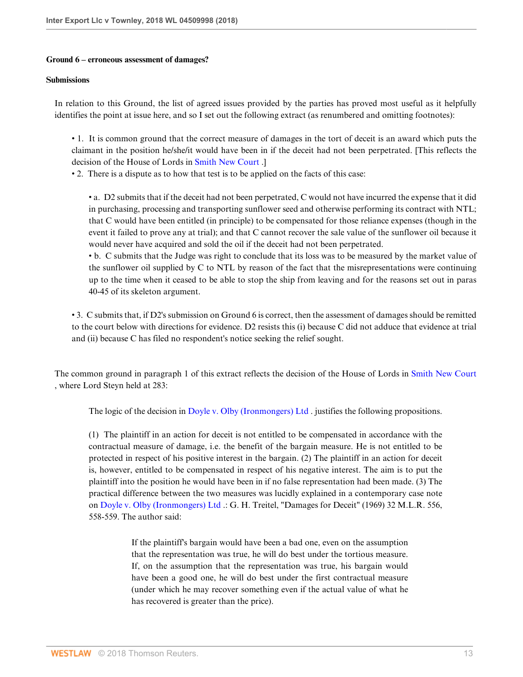### **Ground 6 – erroneous assessment of damages?**

### **Submissions**

In relation to this Ground, the list of agreed issues provided by the parties has proved most useful as it helpfully identifies the point at issue here, and so I set out the following extract (as renumbered and omitting footnotes):

• 1. It is common ground that the correct measure of damages in the tort of deceit is an award which puts the claimant in the position he/she/it would have been in if the deceit had not been perpetrated. [This reflects the decision of the House of Lords in [Smith New Court](http://www.westlaw.com/Link/Document/FullText?findType=Y&serNum=1996292702&pubNum=999&originatingDoc=ID71867B0E2BC11E8AEF4B5C02A97E18E&refType=UC&originationContext=document&vr=3.0&rs=cblt1.0&transitionType=DocumentItem&contextData=(sc.Search)) .]

• 2. There is a dispute as to how that test is to be applied on the facts of this case:

• a. D2 submits that if the deceit had not been perpetrated, C would not have incurred the expense that it did in purchasing, processing and transporting sunflower seed and otherwise performing its contract with NTL; that C would have been entitled (in principle) to be compensated for those reliance expenses (though in the event it failed to prove any at trial); and that C cannot recover the sale value of the sunflower oil because it would never have acquired and sold the oil if the deceit had not been perpetrated.

• b. C submits that the Judge was right to conclude that its loss was to be measured by the market value of the sunflower oil supplied by C to NTL by reason of the fact that the misrepresentations were continuing up to the time when it ceased to be able to stop the ship from leaving and for the reasons set out in paras 40-45 of its skeleton argument.

• 3. C submits that, if D2's submission on Ground 6 is correct, then the assessment of damages should be remitted to the court below with directions for evidence. D2 resists this (i) because C did not adduce that evidence at trial and (ii) because C has filed no respondent's notice seeking the relief sought.

The common ground in paragraph 1 of this extract reflects the decision of the House of Lords in [Smith New Court](http://www.westlaw.com/Link/Document/FullText?findType=Y&serNum=1996292702&pubNum=999&originatingDoc=ID71867B0E2BC11E8AEF4B5C02A97E18E&refType=UC&originationContext=document&vr=3.0&rs=cblt1.0&transitionType=DocumentItem&contextData=(sc.Search)) , where Lord Steyn held at 283:

The logic of the decision in [Doyle v. Olby \(Ironmongers\) Ltd](http://www.westlaw.com/Link/Document/FullText?findType=Y&serNum=1969019845&pubNum=999&originatingDoc=ID71867B0E2BC11E8AEF4B5C02A97E18E&refType=UC&originationContext=document&vr=3.0&rs=cblt1.0&transitionType=DocumentItem&contextData=(sc.Search)) . justifies the following propositions.

(1) The plaintiff in an action for deceit is not entitled to be compensated in accordance with the contractual measure of damage, i.e. the benefit of the bargain measure. He is not entitled to be protected in respect of his positive interest in the bargain. (2) The plaintiff in an action for deceit is, however, entitled to be compensated in respect of his negative interest. The aim is to put the plaintiff into the position he would have been in if no false representation had been made. (3) The practical difference between the two measures was lucidly explained in a contemporary case note on [Doyle v. Olby \(Ironmongers\) Ltd](http://www.westlaw.com/Link/Document/FullText?findType=Y&serNum=1969019845&pubNum=999&originatingDoc=ID71867B0E2BC11E8AEF4B5C02A97E18E&refType=UC&originationContext=document&vr=3.0&rs=cblt1.0&transitionType=DocumentItem&contextData=(sc.Search)) .: G. H. Treitel, "Damages for Deceit" (1969) 32 M.L.R. 556, 558-559. The author said:

> If the plaintiff's bargain would have been a bad one, even on the assumption that the representation was true, he will do best under the tortious measure. If, on the assumption that the representation was true, his bargain would have been a good one, he will do best under the first contractual measure (under which he may recover something even if the actual value of what he has recovered is greater than the price).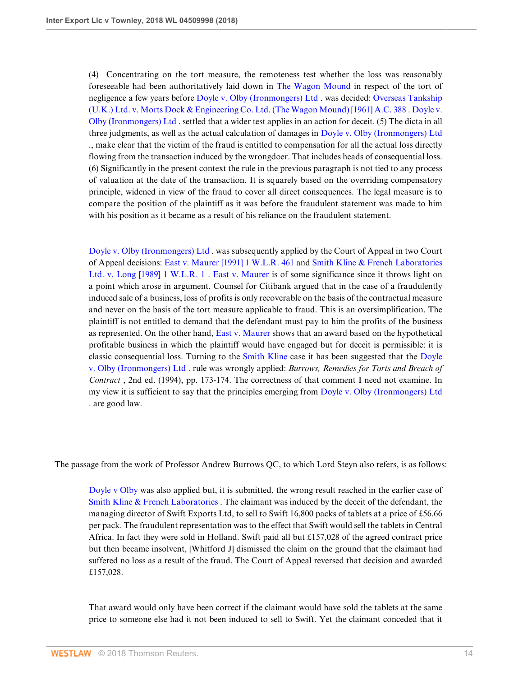(4) Concentrating on the tort measure, the remoteness test whether the loss was reasonably foreseeable had been authoritatively laid down in [The Wagon Mound](http://www.westlaw.com/Link/Document/FullText?findType=Y&serNum=1961017992&pubNum=999&originatingDoc=ID71867B0E2BC11E8AEF4B5C02A97E18E&refType=UC&originationContext=document&vr=3.0&rs=cblt1.0&transitionType=DocumentItem&contextData=(sc.Search)) in respect of the tort of negligence a few years before [Doyle v. Olby \(Ironmongers\) Ltd](http://www.westlaw.com/Link/Document/FullText?findType=Y&serNum=1969019845&pubNum=999&originatingDoc=ID71867B0E2BC11E8AEF4B5C02A97E18E&refType=UC&originationContext=document&vr=3.0&rs=cblt1.0&transitionType=DocumentItem&contextData=(sc.Search)) . was decided: [Overseas Tankship](http://www.westlaw.com/Link/Document/FullText?findType=Y&serNum=1961017992&pubNum=999&originatingDoc=ID71867B0E2BC11E8AEF4B5C02A97E18E&refType=UC&originationContext=document&vr=3.0&rs=cblt1.0&transitionType=DocumentItem&contextData=(sc.Search)) [\(U.K.\) Ltd. v. Morts Dock & Engineering Co. Ltd. \(The Wagon Mound\) \[1961\] A.C. 388](http://www.westlaw.com/Link/Document/FullText?findType=Y&serNum=1961017992&pubNum=999&originatingDoc=ID71867B0E2BC11E8AEF4B5C02A97E18E&refType=UC&originationContext=document&vr=3.0&rs=cblt1.0&transitionType=DocumentItem&contextData=(sc.Search)) . [Doyle v.](http://www.westlaw.com/Link/Document/FullText?findType=Y&serNum=1969019845&pubNum=999&originatingDoc=ID71867B0E2BC11E8AEF4B5C02A97E18E&refType=UC&originationContext=document&vr=3.0&rs=cblt1.0&transitionType=DocumentItem&contextData=(sc.Search)) [Olby \(Ironmongers\) Ltd](http://www.westlaw.com/Link/Document/FullText?findType=Y&serNum=1969019845&pubNum=999&originatingDoc=ID71867B0E2BC11E8AEF4B5C02A97E18E&refType=UC&originationContext=document&vr=3.0&rs=cblt1.0&transitionType=DocumentItem&contextData=(sc.Search)) . settled that a wider test applies in an action for deceit. (5) The dicta in all three judgments, as well as the actual calculation of damages in [Doyle v. Olby \(Ironmongers\) Ltd](http://www.westlaw.com/Link/Document/FullText?findType=Y&serNum=1969019845&pubNum=999&originatingDoc=ID71867B0E2BC11E8AEF4B5C02A97E18E&refType=UC&originationContext=document&vr=3.0&rs=cblt1.0&transitionType=DocumentItem&contextData=(sc.Search)) ., make clear that the victim of the fraud is entitled to compensation for all the actual loss directly flowing from the transaction induced by the wrongdoer. That includes heads of consequential loss. (6) Significantly in the present context the rule in the previous paragraph is not tied to any process of valuation at the date of the transaction. It is squarely based on the overriding compensatory principle, widened in view of the fraud to cover all direct consequences. The legal measure is to compare the position of the plaintiff as it was before the fraudulent statement was made to him with his position as it became as a result of his reliance on the fraudulent statement.

[Doyle v. Olby \(Ironmongers\) Ltd](http://www.westlaw.com/Link/Document/FullText?findType=Y&serNum=1969019845&pubNum=999&originatingDoc=ID71867B0E2BC11E8AEF4B5C02A97E18E&refType=UC&originationContext=document&vr=3.0&rs=cblt1.0&transitionType=DocumentItem&contextData=(sc.Search)) . was subsequently applied by the Court of Appeal in two Court of Appeal decisions: [East v. Maurer \[1991\] 1 W.L.R. 461](http://www.westlaw.com/Link/Document/FullText?findType=Y&serNum=1991220414&pubNum=999&originatingDoc=ID71867B0E2BC11E8AEF4B5C02A97E18E&refType=UC&originationContext=document&vr=3.0&rs=cblt1.0&transitionType=DocumentItem&contextData=(sc.Search)) and [Smith Kline & French Laboratories](http://www.westlaw.com/Link/Document/FullText?findType=Y&serNum=1988182493&pubNum=999&originatingDoc=ID71867B0E2BC11E8AEF4B5C02A97E18E&refType=UC&originationContext=document&vr=3.0&rs=cblt1.0&transitionType=DocumentItem&contextData=(sc.Search)) [Ltd. v. Long \[1989\] 1 W.L.R. 1](http://www.westlaw.com/Link/Document/FullText?findType=Y&serNum=1988182493&pubNum=999&originatingDoc=ID71867B0E2BC11E8AEF4B5C02A97E18E&refType=UC&originationContext=document&vr=3.0&rs=cblt1.0&transitionType=DocumentItem&contextData=(sc.Search)) . [East v. Maurer](http://www.westlaw.com/Link/Document/FullText?findType=Y&serNum=1991220414&pubNum=999&originatingDoc=ID71867B0E2BC11E8AEF4B5C02A97E18E&refType=UC&originationContext=document&vr=3.0&rs=cblt1.0&transitionType=DocumentItem&contextData=(sc.Search)) is of some significance since it throws light on a point which arose in argument. Counsel for Citibank argued that in the case of a fraudulently induced sale of a business, loss of profits is only recoverable on the basis of the contractual measure and never on the basis of the tort measure applicable to fraud. This is an oversimplification. The plaintiff is not entitled to demand that the defendant must pay to him the profits of the business as represented. On the other hand, [East v. Maurer](http://www.westlaw.com/Link/Document/FullText?findType=Y&serNum=1991220414&pubNum=999&originatingDoc=ID71867B0E2BC11E8AEF4B5C02A97E18E&refType=UC&originationContext=document&vr=3.0&rs=cblt1.0&transitionType=DocumentItem&contextData=(sc.Search)) shows that an award based on the hypothetical profitable business in which the plaintiff would have engaged but for deceit is permissible: it is classic consequential loss. Turning to the [Smith Kline](http://www.westlaw.com/Link/Document/FullText?findType=Y&serNum=1988182493&pubNum=999&originatingDoc=ID71867B0E2BC11E8AEF4B5C02A97E18E&refType=UC&originationContext=document&vr=3.0&rs=cblt1.0&transitionType=DocumentItem&contextData=(sc.Search)) case it has been suggested that the [Doyle](http://www.westlaw.com/Link/Document/FullText?findType=Y&serNum=1969019845&pubNum=999&originatingDoc=ID71867B0E2BC11E8AEF4B5C02A97E18E&refType=UC&originationContext=document&vr=3.0&rs=cblt1.0&transitionType=DocumentItem&contextData=(sc.Search)) [v. Olby \(Ironmongers\) Ltd](http://www.westlaw.com/Link/Document/FullText?findType=Y&serNum=1969019845&pubNum=999&originatingDoc=ID71867B0E2BC11E8AEF4B5C02A97E18E&refType=UC&originationContext=document&vr=3.0&rs=cblt1.0&transitionType=DocumentItem&contextData=(sc.Search)) . rule was wrongly applied: *Burrows, Remedies for Torts and Breach of Contract* , 2nd ed. (1994), pp. 173-174. The correctness of that comment I need not examine. In my view it is sufficient to say that the principles emerging from [Doyle v. Olby \(Ironmongers\) Ltd](http://www.westlaw.com/Link/Document/FullText?findType=Y&serNum=1969019845&pubNum=999&originatingDoc=ID71867B0E2BC11E8AEF4B5C02A97E18E&refType=UC&originationContext=document&vr=3.0&rs=cblt1.0&transitionType=DocumentItem&contextData=(sc.Search)) . are good law.

The passage from the work of Professor Andrew Burrows QC, to which Lord Steyn also refers, is as follows:

[Doyle v Olby](http://www.westlaw.com/Link/Document/FullText?findType=Y&serNum=1969019845&pubNum=999&originatingDoc=ID71867B0E2BC11E8AEF4B5C02A97E18E&refType=UC&originationContext=document&vr=3.0&rs=cblt1.0&transitionType=DocumentItem&contextData=(sc.Search)) was also applied but, it is submitted, the wrong result reached in the earlier case of [Smith Kline & French Laboratories](http://www.westlaw.com/Link/Document/FullText?findType=Y&serNum=1988182493&pubNum=999&originatingDoc=ID71867B0E2BC11E8AEF4B5C02A97E18E&refType=UC&originationContext=document&vr=3.0&rs=cblt1.0&transitionType=DocumentItem&contextData=(sc.Search)) . The claimant was induced by the deceit of the defendant, the managing director of Swift Exports Ltd, to sell to Swift 16,800 packs of tablets at a price of £56.66 per pack. The fraudulent representation was to the effect that Swift would sell the tablets in Central Africa. In fact they were sold in Holland. Swift paid all but £157,028 of the agreed contract price but then became insolvent, [Whitford J] dismissed the claim on the ground that the claimant had suffered no loss as a result of the fraud. The Court of Appeal reversed that decision and awarded £157,028.

That award would only have been correct if the claimant would have sold the tablets at the same price to someone else had it not been induced to sell to Swift. Yet the claimant conceded that it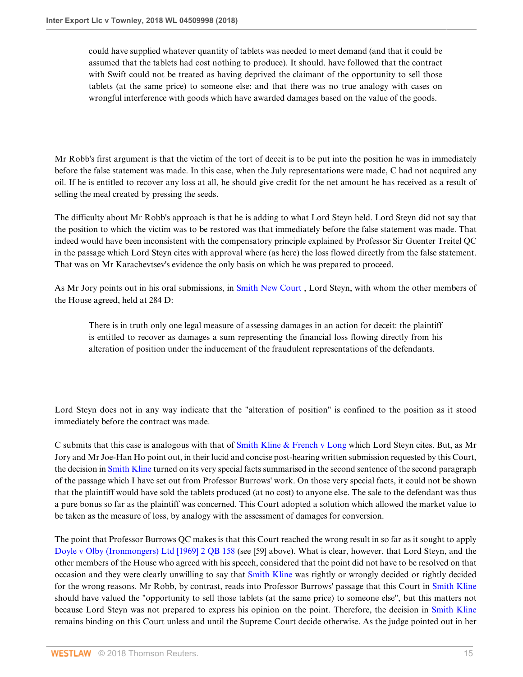could have supplied whatever quantity of tablets was needed to meet demand (and that it could be assumed that the tablets had cost nothing to produce). It should. have followed that the contract with Swift could not be treated as having deprived the claimant of the opportunity to sell those tablets (at the same price) to someone else: and that there was no true analogy with cases on wrongful interference with goods which have awarded damages based on the value of the goods.

Mr Robb's first argument is that the victim of the tort of deceit is to be put into the position he was in immediately before the false statement was made. In this case, when the July representations were made, C had not acquired any oil. If he is entitled to recover any loss at all, he should give credit for the net amount he has received as a result of selling the meal created by pressing the seeds.

The difficulty about Mr Robb's approach is that he is adding to what Lord Steyn held. Lord Steyn did not say that the position to which the victim was to be restored was that immediately before the false statement was made. That indeed would have been inconsistent with the compensatory principle explained by Professor Sir Guenter Treitel QC in the passage which Lord Steyn cites with approval where (as here) the loss flowed directly from the false statement. That was on Mr Karachevtsev's evidence the only basis on which he was prepared to proceed.

As Mr Jory points out in his oral submissions, in [Smith New Court](http://www.westlaw.com/Link/Document/FullText?findType=Y&serNum=1996292702&pubNum=999&originatingDoc=ID71867B0E2BC11E8AEF4B5C02A97E18E&refType=UC&originationContext=document&vr=3.0&rs=cblt1.0&transitionType=DocumentItem&contextData=(sc.Search)) , Lord Steyn, with whom the other members of the House agreed, held at 284 D:

There is in truth only one legal measure of assessing damages in an action for deceit: the plaintiff is entitled to recover as damages a sum representing the financial loss flowing directly from his alteration of position under the inducement of the fraudulent representations of the defendants.

Lord Steyn does not in any way indicate that the "alteration of position" is confined to the position as it stood immediately before the contract was made.

C submits that this case is analogous with that of [Smith Kline & French v Long](http://www.westlaw.com/Link/Document/FullText?findType=Y&serNum=1988182493&pubNum=999&originatingDoc=ID71867B0E2BC11E8AEF4B5C02A97E18E&refType=UC&originationContext=document&vr=3.0&rs=cblt1.0&transitionType=DocumentItem&contextData=(sc.Search)) which Lord Steyn cites. But, as Mr Jory and Mr Joe-Han Ho point out, in their lucid and concise post-hearing written submission requested by this Court, the decision in [Smith Kline](http://www.westlaw.com/Link/Document/FullText?findType=Y&serNum=1988182493&pubNum=999&originatingDoc=ID71867B0E2BC11E8AEF4B5C02A97E18E&refType=UC&originationContext=document&vr=3.0&rs=cblt1.0&transitionType=DocumentItem&contextData=(sc.Search)) turned on its very special facts summarised in the second sentence of the second paragraph of the passage which I have set out from Professor Burrows' work. On those very special facts, it could not be shown that the plaintiff would have sold the tablets produced (at no cost) to anyone else. The sale to the defendant was thus a pure bonus so far as the plaintiff was concerned. This Court adopted a solution which allowed the market value to be taken as the measure of loss, by analogy with the assessment of damages for conversion.

The point that Professor Burrows QC makes is that this Court reached the wrong result in so far as it sought to apply [Doyle v Olby \(Ironmongers\) Ltd \[1969\] 2 QB 158](http://www.westlaw.com/Link/Document/FullText?findType=Y&serNum=1969019845&pubNum=999&originatingDoc=ID71867B0E2BC11E8AEF4B5C02A97E18E&refType=UC&originationContext=document&vr=3.0&rs=cblt1.0&transitionType=DocumentItem&contextData=(sc.Search)) (see [59] above). What is clear, however, that Lord Steyn, and the other members of the House who agreed with his speech, considered that the point did not have to be resolved on that occasion and they were clearly unwilling to say that [Smith Kline](http://www.westlaw.com/Link/Document/FullText?findType=Y&serNum=1988182493&pubNum=999&originatingDoc=ID71867B0E2BC11E8AEF4B5C02A97E18E&refType=UC&originationContext=document&vr=3.0&rs=cblt1.0&transitionType=DocumentItem&contextData=(sc.Search)) was rightly or wrongly decided or rightly decided for the wrong reasons. Mr Robb, by contrast, reads into Professor Burrows' passage that this Court in [Smith Kline](http://www.westlaw.com/Link/Document/FullText?findType=Y&serNum=1988182493&pubNum=999&originatingDoc=ID71867B0E2BC11E8AEF4B5C02A97E18E&refType=UC&originationContext=document&vr=3.0&rs=cblt1.0&transitionType=DocumentItem&contextData=(sc.Search)) should have valued the "opportunity to sell those tablets (at the same price) to someone else", but this matters not because Lord Steyn was not prepared to express his opinion on the point. Therefore, the decision in [Smith Kline](http://www.westlaw.com/Link/Document/FullText?findType=Y&serNum=1988182493&pubNum=999&originatingDoc=ID71867B0E2BC11E8AEF4B5C02A97E18E&refType=UC&originationContext=document&vr=3.0&rs=cblt1.0&transitionType=DocumentItem&contextData=(sc.Search)) remains binding on this Court unless and until the Supreme Court decide otherwise. As the judge pointed out in her